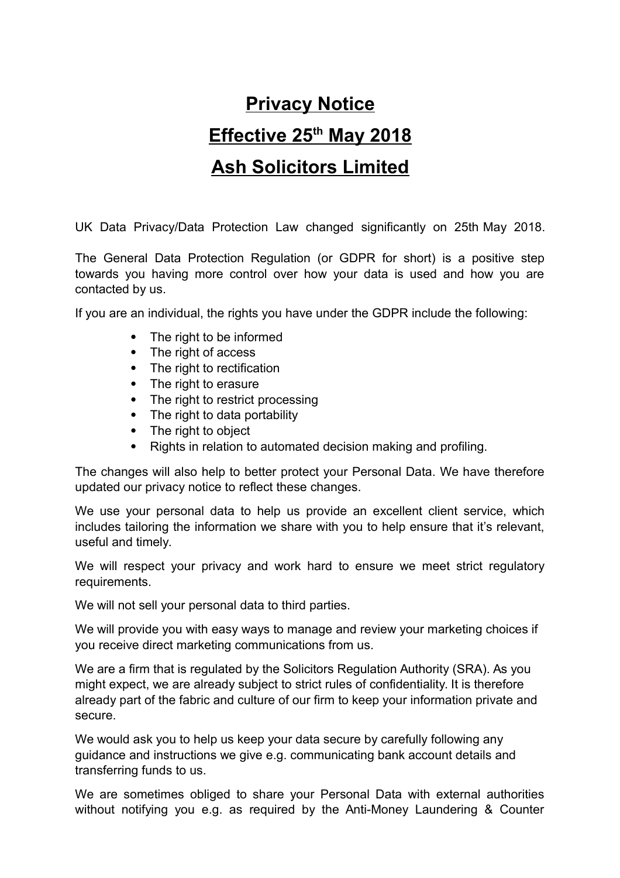# **Privacy Notice Effective 25th May 2018 Ash Solicitors Limited**

UK Data Privacy/Data Protection Law changed significantly on 25th May 2018.

The General Data Protection Regulation (or GDPR for short) is a positive step towards you having more control over how your data is used and how you are contacted by us.

If you are an individual, the rights you have under the GDPR include the following:

- The right to be informed
- The right of access
- The right to rectification
- The right to erasure
- The right to restrict processing
- The right to data portability
- The right to object
- Rights in relation to automated decision making and profiling.

The changes will also help to better protect your Personal Data. We have therefore updated our privacy notice to reflect these changes.

We use your personal data to help us provide an excellent client service, which includes tailoring the information we share with you to help ensure that it's relevant, useful and timely.

We will respect your privacy and work hard to ensure we meet strict regulatory requirements.

We will not sell your personal data to third parties.

We will provide you with easy ways to manage and review your marketing choices if you receive direct marketing communications from us.

We are a firm that is regulated by the Solicitors Regulation Authority (SRA). As you might expect, we are already subject to strict rules of confidentiality. It is therefore already part of the fabric and culture of our firm to keep your information private and secure.

We would ask you to help us keep your data secure by carefully following any guidance and instructions we give e.g. communicating bank account details and transferring funds to us.

We are sometimes obliged to share your Personal Data with external authorities without notifying you e.g. as required by the Anti-Money Laundering & Counter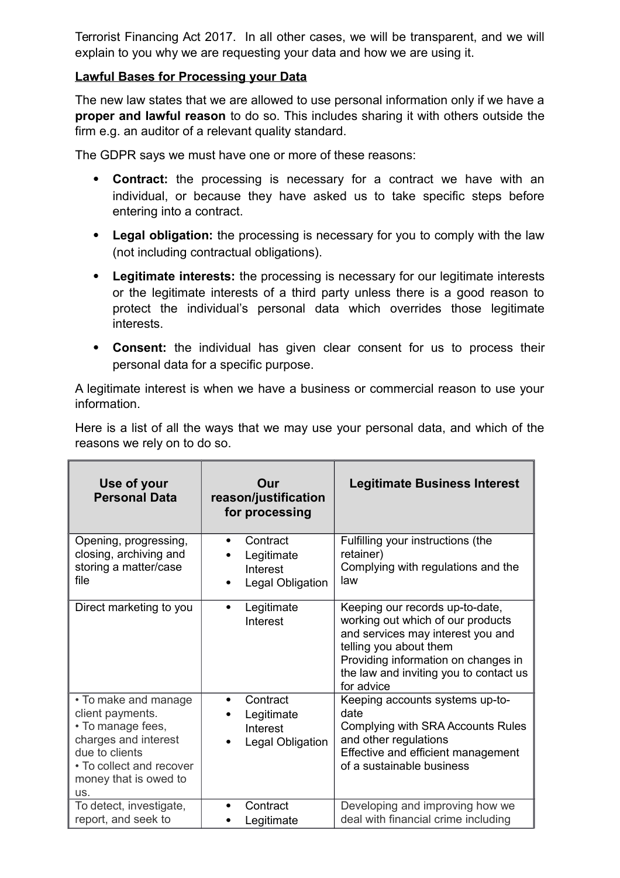Terrorist Financing Act 2017. In all other cases, we will be transparent, and we will explain to you why we are requesting your data and how we are using it.

#### **Lawful Bases for Processing your Data**

The new law states that we are allowed to use personal information only if we have a **proper and lawful reason** to do so. This includes sharing it with others outside the firm e.g. an auditor of a relevant quality standard.

The GDPR says we must have one or more of these reasons:

- **Contract:** the processing is necessary for a contract we have with an individual, or because they have asked us to take specific steps before entering into a contract.
- **Legal obligation:** the processing is necessary for you to comply with the law (not including contractual obligations).
- **Legitimate interests:** the processing is necessary for our legitimate interests or the legitimate interests of a third party unless there is a good reason to protect the individual's personal data which overrides those legitimate interests.
- **Consent:** the individual has given clear consent for us to process their personal data for a specific purpose.

A legitimate interest is when we have a business or commercial reason to use your information.

Here is a list of all the ways that we may use your personal data, and which of the reasons we rely on to do so.

| Use of your<br><b>Personal Data</b>                                                                                                                                 | Our<br>reason/justification<br>for processing          | <b>Legitimate Business Interest</b>                                                                                                                                                                                                |
|---------------------------------------------------------------------------------------------------------------------------------------------------------------------|--------------------------------------------------------|------------------------------------------------------------------------------------------------------------------------------------------------------------------------------------------------------------------------------------|
| Opening, progressing,<br>closing, archiving and<br>storing a matter/case<br>file                                                                                    | Contract<br>Legitimate<br>Interest<br>Legal Obligation | Fulfilling your instructions (the<br>retainer)<br>Complying with regulations and the<br>law                                                                                                                                        |
| Direct marketing to you                                                                                                                                             | Legitimate<br>Interest                                 | Keeping our records up-to-date,<br>working out which of our products<br>and services may interest you and<br>telling you about them<br>Providing information on changes in<br>the law and inviting you to contact us<br>for advice |
| • To make and manage<br>client payments.<br>• To manage fees,<br>charges and interest<br>due to clients<br>• To collect and recover<br>money that is owed to<br>US. | Contract<br>Legitimate<br>Interest<br>Legal Obligation | Keeping accounts systems up-to-<br>date<br>Complying with SRA Accounts Rules<br>and other regulations<br>Effective and efficient management<br>of a sustainable business                                                           |
| To detect, investigate,<br>report, and seek to                                                                                                                      | Contract<br>Legitimate                                 | Developing and improving how we<br>deal with financial crime including                                                                                                                                                             |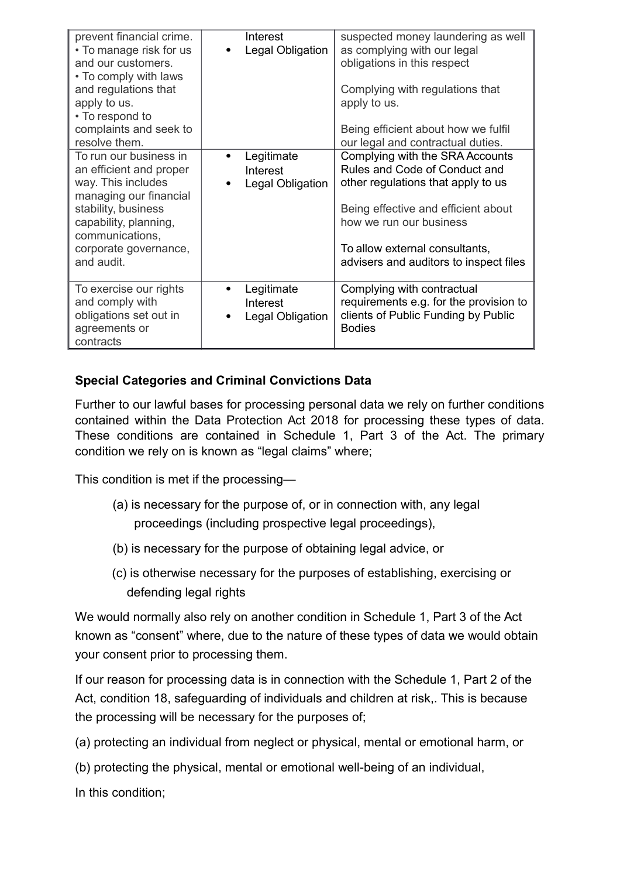| prevent financial crime.<br>• To manage risk for us<br>and our customers.<br>• To comply with laws<br>and regulations that<br>apply to us.<br>• To respond to<br>complaints and seek to<br>resolve them.    | Interest<br>Legal Obligation               | suspected money laundering as well<br>as complying with our legal<br>obligations in this respect<br>Complying with regulations that<br>apply to us.<br>Being efficient about how we fulfil<br>our legal and contractual duties.                      |
|-------------------------------------------------------------------------------------------------------------------------------------------------------------------------------------------------------------|--------------------------------------------|------------------------------------------------------------------------------------------------------------------------------------------------------------------------------------------------------------------------------------------------------|
| To run our business in<br>an efficient and proper<br>way. This includes<br>managing our financial<br>stability, business<br>capability, planning,<br>communications,<br>corporate governance,<br>and audit. | Legitimate<br>Interest<br>Legal Obligation | Complying with the SRA Accounts<br>Rules and Code of Conduct and<br>other regulations that apply to us<br>Being effective and efficient about<br>how we run our business<br>To allow external consultants,<br>advisers and auditors to inspect files |
| To exercise our rights<br>and comply with<br>obligations set out in<br>agreements or<br>contracts                                                                                                           | Legitimate<br>Interest<br>Legal Obligation | Complying with contractual<br>requirements e.g. for the provision to<br>clients of Public Funding by Public<br><b>Bodies</b>                                                                                                                         |

# **Special Categories and Criminal Convictions Data**

Further to our lawful bases for processing personal data we rely on further conditions contained within the Data Protection Act 2018 for processing these types of data. These conditions are contained in Schedule 1, Part 3 of the Act. The primary condition we rely on is known as "legal claims" where;

This condition is met if the processing—

- (a) is necessary for the purpose of, or in connection with, any legal proceedings (including prospective legal proceedings),
- (b) is necessary for the purpose of obtaining legal advice, or
- (c) is otherwise necessary for the purposes of establishing, exercising or defending legal rights

We would normally also rely on another condition in Schedule 1, Part 3 of the Act known as "consent" where, due to the nature of these types of data we would obtain your consent prior to processing them.

If our reason for processing data is in connection with the Schedule 1, Part 2 of the Act, condition 18, safeguarding of individuals and children at risk,. This is because the processing will be necessary for the purposes of;

(a) protecting an individual from neglect or physical, mental or emotional harm, or

(b) protecting the physical, mental or emotional well-being of an individual,

In this condition;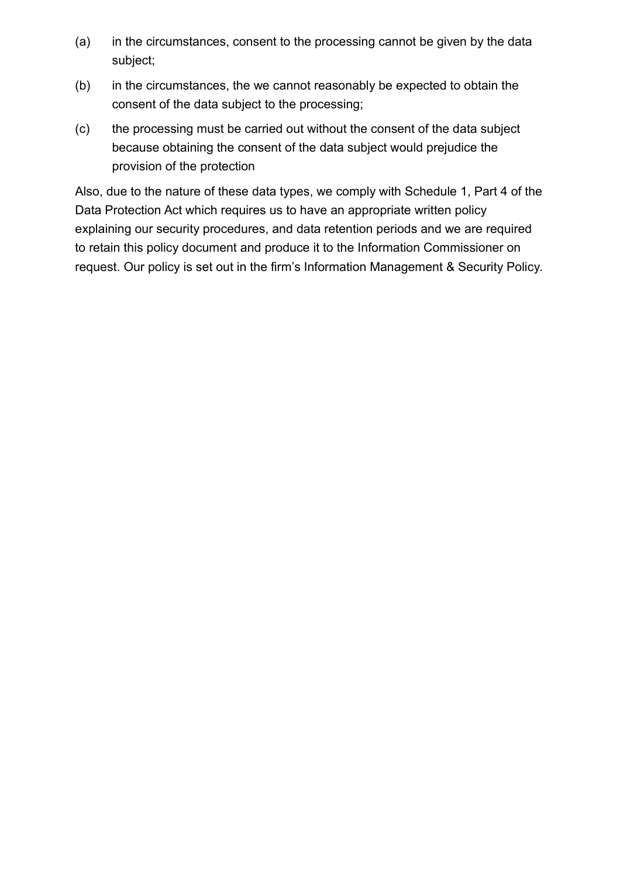- (a) in the circumstances, consent to the processing cannot be given by the data subject;
- (b) in the circumstances, the we cannot reasonably be expected to obtain the consent of the data subject to the processing;
- (c) the processing must be carried out without the consent of the data subject because obtaining the consent of the data subject would prejudice the provision of the protection

Also, due to the nature of these data types, we comply with Schedule 1, Part 4 of the Data Protection Act which requires us to have an appropriate written policy explaining our security procedures, and data retention periods and we are required to retain this policy document and produce it to the Information Commissioner on request. Our policy is set out in the firm's Information Management & Security Policy.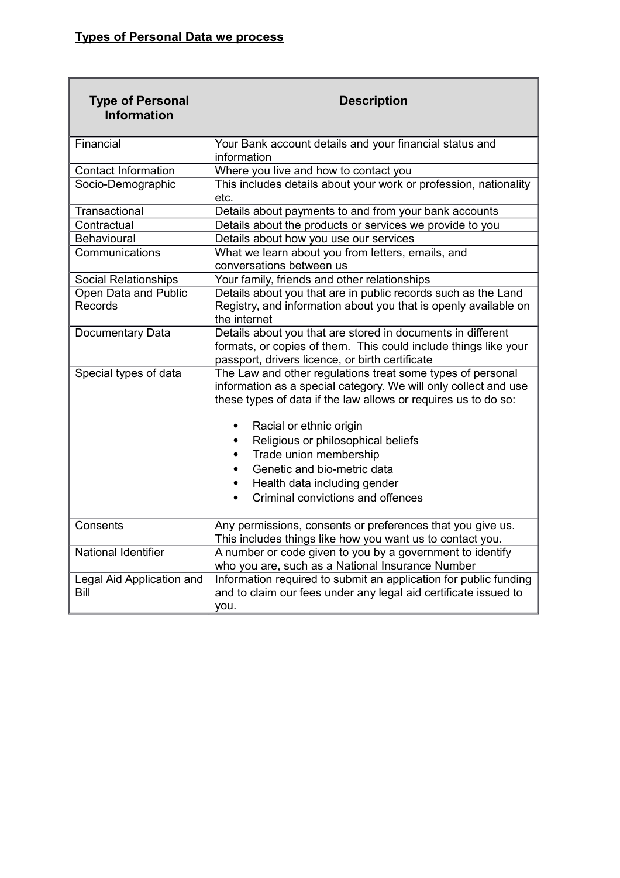| <b>Type of Personal</b><br><b>Information</b> | <b>Description</b>                                                                                                                                                                                                                                                    |  |  |
|-----------------------------------------------|-----------------------------------------------------------------------------------------------------------------------------------------------------------------------------------------------------------------------------------------------------------------------|--|--|
| Financial                                     | Your Bank account details and your financial status and<br>information                                                                                                                                                                                                |  |  |
| <b>Contact Information</b>                    | Where you live and how to contact you                                                                                                                                                                                                                                 |  |  |
| Socio-Demographic                             | This includes details about your work or profession, nationality<br>etc.                                                                                                                                                                                              |  |  |
| Transactional                                 | Details about payments to and from your bank accounts                                                                                                                                                                                                                 |  |  |
| Contractual                                   | Details about the products or services we provide to you                                                                                                                                                                                                              |  |  |
| Behavioural                                   | Details about how you use our services                                                                                                                                                                                                                                |  |  |
| Communications                                | What we learn about you from letters, emails, and<br>conversations between us                                                                                                                                                                                         |  |  |
| Social Relationships                          | Your family, friends and other relationships                                                                                                                                                                                                                          |  |  |
| Open Data and Public<br>Records               | Details about you that are in public records such as the Land<br>Registry, and information about you that is openly available on<br>the internet                                                                                                                      |  |  |
| Documentary Data                              | Details about you that are stored in documents in different<br>formats, or copies of them. This could include things like your<br>passport, drivers licence, or birth certificate                                                                                     |  |  |
| Special types of data                         | The Law and other regulations treat some types of personal<br>information as a special category. We will only collect and use<br>these types of data if the law allows or requires us to do so:<br>Racial or ethnic origin<br>٠<br>Religious or philosophical beliefs |  |  |
|                                               | Trade union membership                                                                                                                                                                                                                                                |  |  |
|                                               | Genetic and bio-metric data                                                                                                                                                                                                                                           |  |  |
|                                               | Health data including gender                                                                                                                                                                                                                                          |  |  |
|                                               | Criminal convictions and offences                                                                                                                                                                                                                                     |  |  |
| Consents                                      | Any permissions, consents or preferences that you give us.<br>This includes things like how you want us to contact you.                                                                                                                                               |  |  |
| <b>National Identifier</b>                    | A number or code given to you by a government to identify<br>who you are, such as a National Insurance Number                                                                                                                                                         |  |  |
| Legal Aid Application and<br>Bill             | Information required to submit an application for public funding<br>and to claim our fees under any legal aid certificate issued to<br>you.                                                                                                                           |  |  |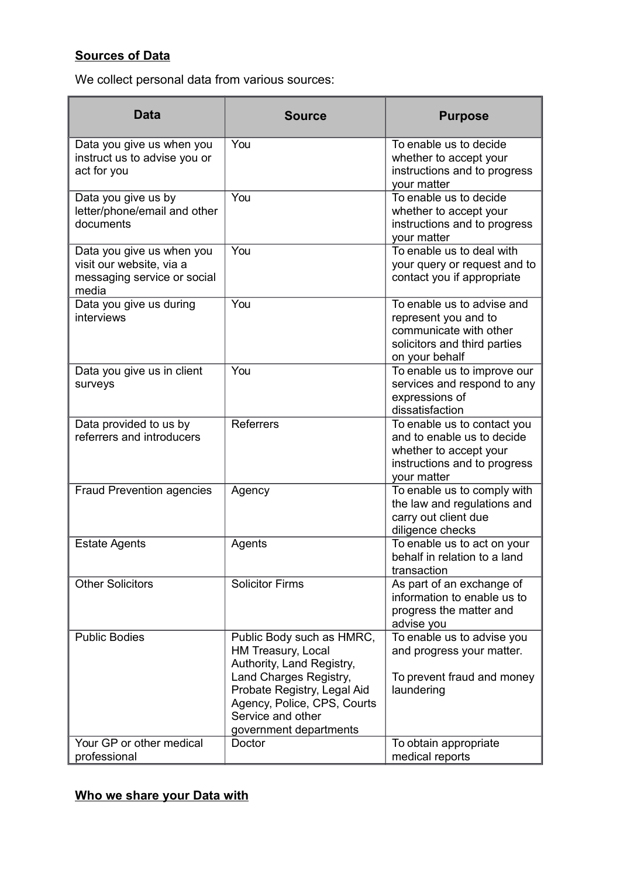# **Sources of Data**

We collect personal data from various sources:

| <b>Data</b>                                                                                   | <b>Source</b>                                                                                                                                                                                                       | <b>Purpose</b>                                                                                                                     |
|-----------------------------------------------------------------------------------------------|---------------------------------------------------------------------------------------------------------------------------------------------------------------------------------------------------------------------|------------------------------------------------------------------------------------------------------------------------------------|
| Data you give us when you<br>instruct us to advise you or<br>act for you                      | You                                                                                                                                                                                                                 | To enable us to decide<br>whether to accept your<br>instructions and to progress<br>your matter                                    |
| Data you give us by<br>letter/phone/email and other<br>documents                              | You                                                                                                                                                                                                                 | To enable us to decide<br>whether to accept your<br>instructions and to progress<br>your matter                                    |
| Data you give us when you<br>visit our website, via a<br>messaging service or social<br>media | You                                                                                                                                                                                                                 | To enable us to deal with<br>your query or request and to<br>contact you if appropriate                                            |
| Data you give us during<br>interviews                                                         | You                                                                                                                                                                                                                 | To enable us to advise and<br>represent you and to<br>communicate with other<br>solicitors and third parties<br>on your behalf     |
| Data you give us in client<br>surveys                                                         | You                                                                                                                                                                                                                 | To enable us to improve our<br>services and respond to any<br>expressions of<br>dissatisfaction                                    |
| Data provided to us by<br>referrers and introducers                                           | <b>Referrers</b>                                                                                                                                                                                                    | To enable us to contact you<br>and to enable us to decide<br>whether to accept your<br>instructions and to progress<br>your matter |
| <b>Fraud Prevention agencies</b>                                                              | Agency                                                                                                                                                                                                              | To enable us to comply with<br>the law and regulations and<br>carry out client due<br>diligence checks                             |
| <b>Estate Agents</b>                                                                          | Agents                                                                                                                                                                                                              | To enable us to act on your<br>behalf in relation to a land<br>transaction                                                         |
| <b>Other Solicitors</b>                                                                       | <b>Solicitor Firms</b>                                                                                                                                                                                              | As part of an exchange of<br>information to enable us to<br>progress the matter and<br>advise you                                  |
| <b>Public Bodies</b>                                                                          | Public Body such as HMRC,<br>HM Treasury, Local<br>Authority, Land Registry,<br>Land Charges Registry,<br>Probate Registry, Legal Aid<br>Agency, Police, CPS, Courts<br>Service and other<br>government departments | To enable us to advise you<br>and progress your matter.<br>To prevent fraud and money<br>laundering                                |
| Your GP or other medical<br>professional                                                      | Doctor                                                                                                                                                                                                              | To obtain appropriate<br>medical reports                                                                                           |

# **Who we share your Data with**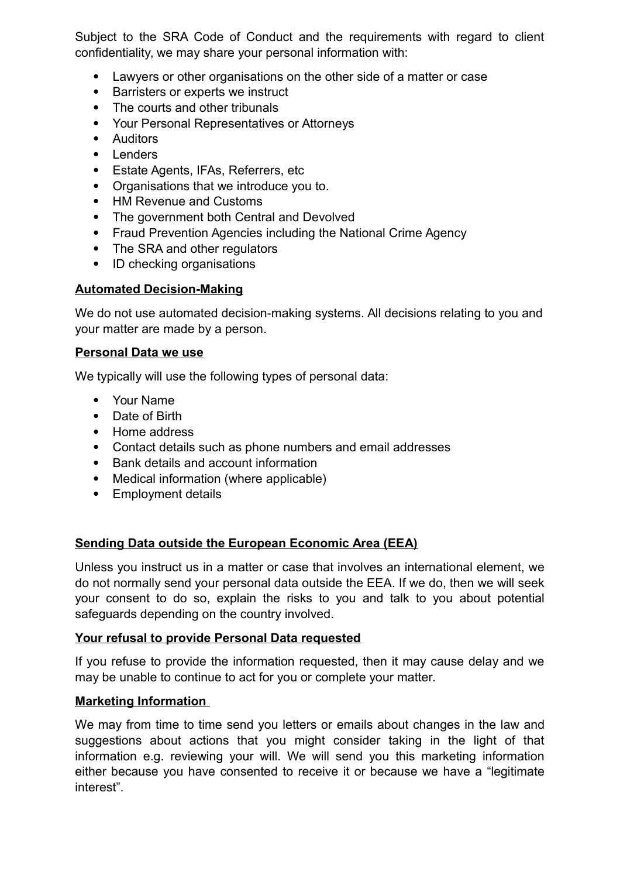Subject to the SRA Code of Conduct and the requirements with regard to client confidentiality, we may share your personal information with:

- Lawyers or other organisations on the other side of a matter or case
- Barristers or experts we instruct
- The courts and other tribunals
- Your Personal Representatives or Attorneys
- Auditors
- Lenders
- Estate Agents, IFAs, Referrers, etc
- Organisations that we introduce you to.
- HM Revenue and Customs
- The government both Central and Devolved
- Fraud Prevention Agencies including the National Crime Agency
- The SRA and other regulators
- ID checking organisations

## **Automated Decision-Making**

We do not use automated decision-making systems. All decisions relating to you and your matter are made by a person.

## **Personal Data we use**

We typically will use the following types of personal data:

- Your Name
- Date of Birth
- Home address
- Contact details such as phone numbers and email addresses
- Bank details and account information
- Medical information (where applicable)
- Employment details

# **Sending Data outside the European Economic Area (EEA)**

Unless you instruct us in a matter or case that involves an international element, we do not normally send your personal data outside the EEA. If we do, then we will seek your consent to do so, explain the risks to you and talk to you about potential safeguards depending on the country involved.

#### **Your refusal to provide Personal Data requested**

If you refuse to provide the information requested, then it may cause delay and we may be unable to continue to act for you or complete your matter.

## **Marketing Information**

We may from time to time send you letters or emails about changes in the law and suggestions about actions that you might consider taking in the light of that information e.g. reviewing your will. We will send you this marketing information either because you have consented to receive it or because we have a "legitimate interest".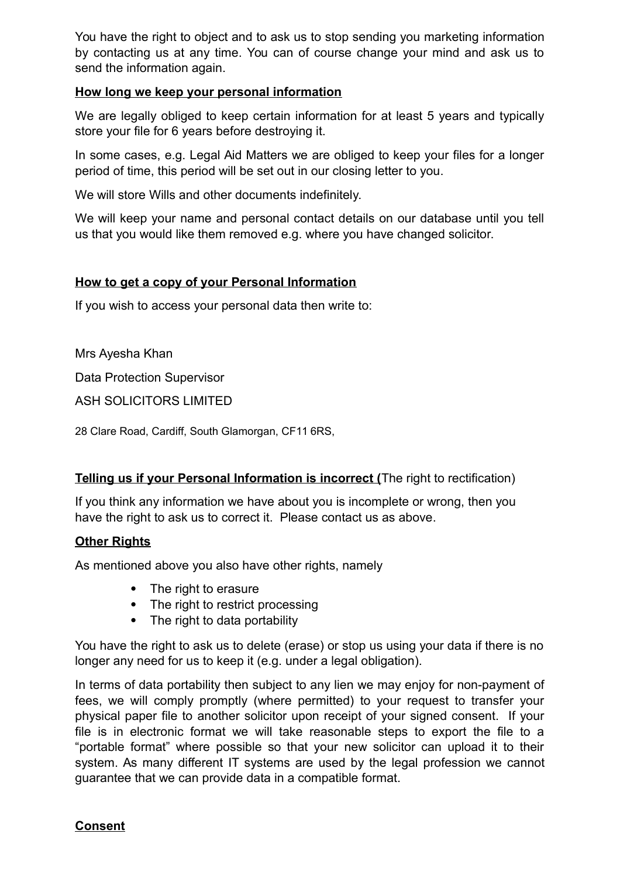You have the right to object and to ask us to stop sending you marketing information by contacting us at any time. You can of course change your mind and ask us to send the information again.

#### **How long we keep your personal information**

We are legally obliged to keep certain information for at least 5 years and typically store your file for 6 years before destroying it.

In some cases, e.g. Legal Aid Matters we are obliged to keep your files for a longer period of time, this period will be set out in our closing letter to you.

We will store Wills and other documents indefinitely.

We will keep your name and personal contact details on our database until you tell us that you would like them removed e.g. where you have changed solicitor.

## **How to get a copy of your Personal Information**

If you wish to access your personal data then write to:

Mrs Ayesha Khan

Data Protection Supervisor

ASH SOLICITORS LIMITED

28 Clare Road, Cardiff, South Glamorgan, CF11 6RS,

## **Telling us if your Personal Information is incorrect (**The right to rectification)

If you think any information we have about you is incomplete or wrong, then you have the right to ask us to correct it. Please contact us as above.

## **Other Rights**

As mentioned above you also have other rights, namely

- The right to erasure
- The right to restrict processing
- The right to data portability

You have the right to ask us to delete (erase) or stop us using your data if there is no longer any need for us to keep it (e.g. under a legal obligation).

In terms of data portability then subject to any lien we may enjoy for non-payment of fees, we will comply promptly (where permitted) to your request to transfer your physical paper file to another solicitor upon receipt of your signed consent. If your file is in electronic format we will take reasonable steps to export the file to a "portable format" where possible so that your new solicitor can upload it to their system. As many different IT systems are used by the legal profession we cannot guarantee that we can provide data in a compatible format.

#### **Consent**